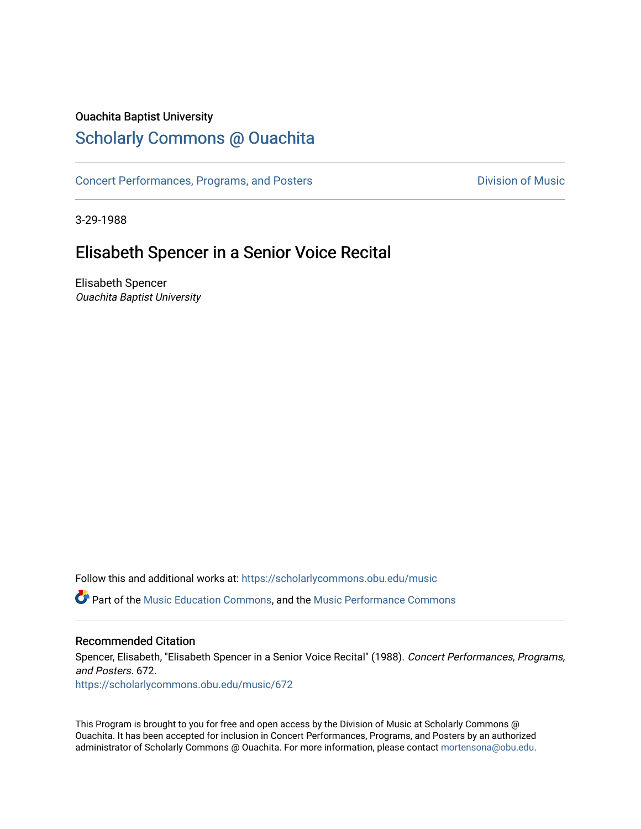#### Ouachita Baptist University

# [Scholarly Commons @ Ouachita](https://scholarlycommons.obu.edu/)

[Concert Performances, Programs, and Posters](https://scholarlycommons.obu.edu/music) **Division of Music** Division of Music

3-29-1988

# Elisabeth Spencer in a Senior Voice Recital

Elisabeth Spencer Ouachita Baptist University

Follow this and additional works at: [https://scholarlycommons.obu.edu/music](https://scholarlycommons.obu.edu/music?utm_source=scholarlycommons.obu.edu%2Fmusic%2F672&utm_medium=PDF&utm_campaign=PDFCoverPages) 

**C** Part of the [Music Education Commons,](http://network.bepress.com/hgg/discipline/1246?utm_source=scholarlycommons.obu.edu%2Fmusic%2F672&utm_medium=PDF&utm_campaign=PDFCoverPages) and the Music Performance Commons

#### Recommended Citation

Spencer, Elisabeth, "Elisabeth Spencer in a Senior Voice Recital" (1988). Concert Performances, Programs, and Posters. 672.

[https://scholarlycommons.obu.edu/music/672](https://scholarlycommons.obu.edu/music/672?utm_source=scholarlycommons.obu.edu%2Fmusic%2F672&utm_medium=PDF&utm_campaign=PDFCoverPages) 

This Program is brought to you for free and open access by the Division of Music at Scholarly Commons @ Ouachita. It has been accepted for inclusion in Concert Performances, Programs, and Posters by an authorized administrator of Scholarly Commons @ Ouachita. For more information, please contact [mortensona@obu.edu](mailto:mortensona@obu.edu).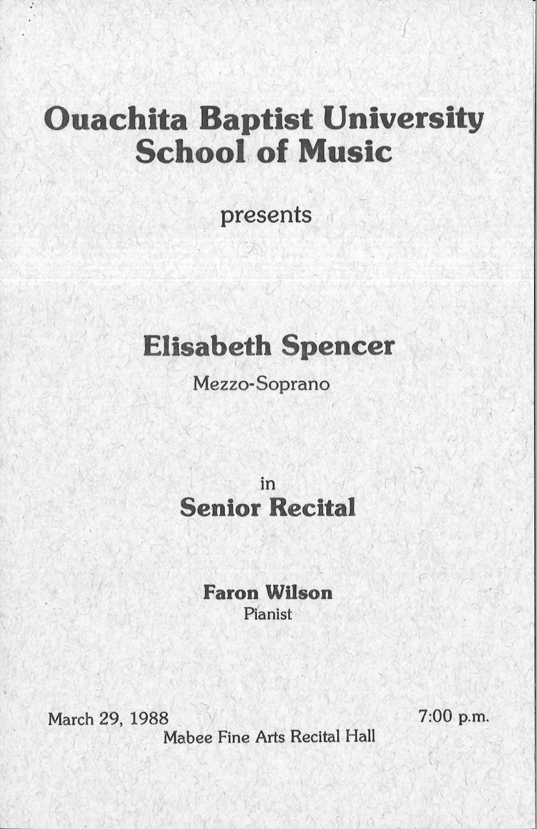# **Ouachita Baptist University** School of Music

 $\int$ 

presents

/

# **Elisabeth Spencer**

#### Mezzo-Soprano

# in Senior Recital

#### **Faron Wilson** Pianist

March 29, 1988

Mabee Fine Arts Recital Hall

 $\sqrt{2}$ 

7:00 p.m.

 $\overline{\phantom{a}}$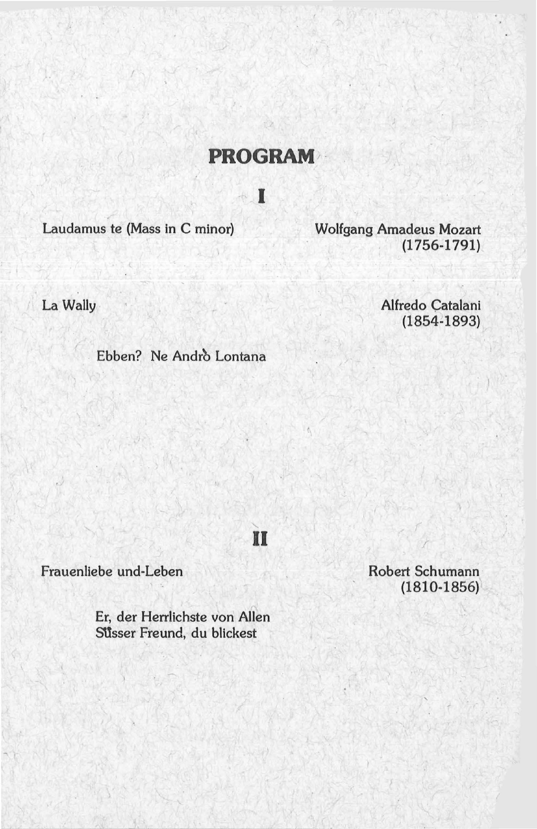### **PROGRAM**

I

II

Laudamus te (Mass in C minor)

**Wolfgang Amadeus Mozart**  $(1756 - 1791)$ 

La Wally

Alfredo Catalani  $(1854 - 1893)$ 

Ebben? Ne Andrò Lontana

Frauenliebe und-Leben

Er, der Herrlichste von Allen Süsser Freund, du blickest

Robert Schumann  $(1810-1856)$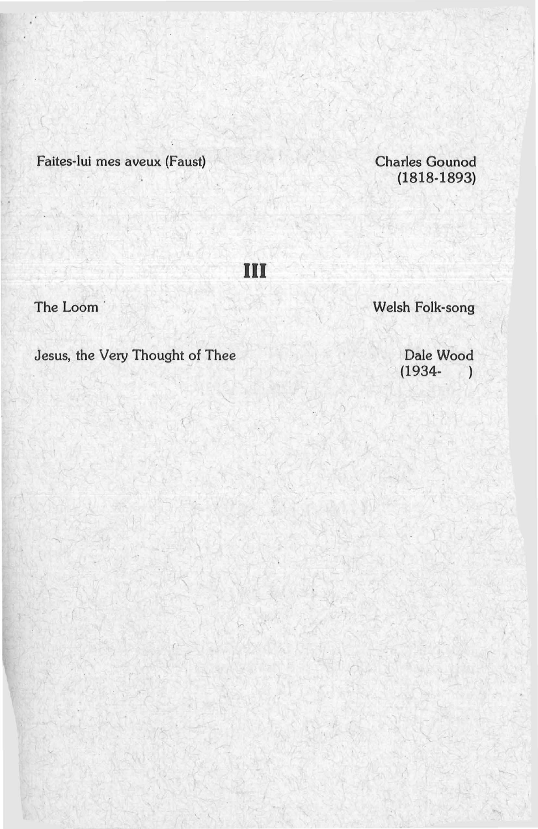Faites-lui mes aveux (Faust)

Charles Gounod (1818-1893)

Ill

The Loom

Welsh Folk-song

*r* 

Jesus, the Very Thought of Thee

Dale Wood  $(1934-)$